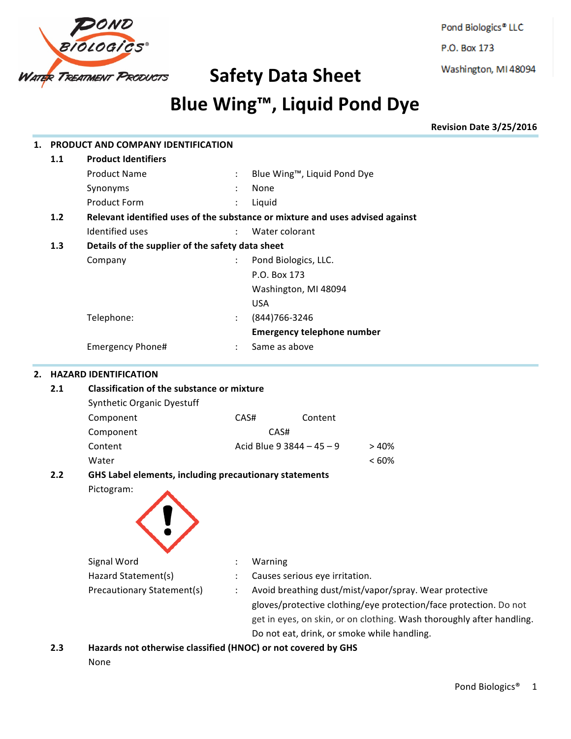

Pond Biologics<sup>®</sup> LLC P.O. Box 173

Washington, MI 48094

# **Blue Wing™, Liquid Pond Dye**

**Revision Date 3/25/2016**

| 1.                                 |           | PRODUCT AND COMPANY IDENTIFICATION                            |                      |                                                                               |  |  |  |  |
|------------------------------------|-----------|---------------------------------------------------------------|----------------------|-------------------------------------------------------------------------------|--|--|--|--|
|                                    | 1.1       | <b>Product Identifiers</b>                                    |                      |                                                                               |  |  |  |  |
|                                    |           | <b>Product Name</b>                                           |                      | Blue Wing™, Liquid Pond Dye                                                   |  |  |  |  |
|                                    |           | Synonyms                                                      |                      | None                                                                          |  |  |  |  |
|                                    |           | <b>Product Form</b>                                           |                      | Liquid                                                                        |  |  |  |  |
|                                    | 1.2       |                                                               |                      | Relevant identified uses of the substance or mixture and uses advised against |  |  |  |  |
|                                    |           | Identified uses                                               |                      | Water colorant                                                                |  |  |  |  |
|                                    | 1.3       | Details of the supplier of the safety data sheet              |                      |                                                                               |  |  |  |  |
|                                    |           | Company                                                       |                      | Pond Biologics, LLC.                                                          |  |  |  |  |
|                                    |           |                                                               |                      | P.O. Box 173                                                                  |  |  |  |  |
|                                    |           |                                                               |                      | Washington, MI 48094                                                          |  |  |  |  |
|                                    |           |                                                               |                      | <b>USA</b>                                                                    |  |  |  |  |
|                                    |           | Telephone:                                                    | $\ddot{\phantom{0}}$ | (844) 766-3246                                                                |  |  |  |  |
|                                    |           |                                                               |                      | <b>Emergency telephone number</b>                                             |  |  |  |  |
|                                    |           | Emergency Phone#                                              |                      | Same as above                                                                 |  |  |  |  |
| <b>HAZARD IDENTIFICATION</b><br>2. |           |                                                               |                      |                                                                               |  |  |  |  |
|                                    | 2.1       | <b>Classification of the substance or mixture</b>             |                      |                                                                               |  |  |  |  |
|                                    |           | Synthetic Organic Dyestuff                                    |                      |                                                                               |  |  |  |  |
|                                    |           | Component                                                     |                      | CAS#<br>Content                                                               |  |  |  |  |
|                                    |           | Component                                                     |                      | CAS#                                                                          |  |  |  |  |
|                                    |           | Content                                                       |                      | Acid Blue 9 3844 - 45 - 9<br>>40%                                             |  |  |  |  |
|                                    |           | Water                                                         |                      | < 60%                                                                         |  |  |  |  |
|                                    | 2.2       | GHS Label elements, including precautionary statements        |                      |                                                                               |  |  |  |  |
|                                    |           | Pictogram:                                                    |                      |                                                                               |  |  |  |  |
|                                    |           |                                                               |                      |                                                                               |  |  |  |  |
|                                    |           |                                                               |                      |                                                                               |  |  |  |  |
|                                    |           |                                                               |                      |                                                                               |  |  |  |  |
|                                    |           | Signal Word                                                   |                      | Warning                                                                       |  |  |  |  |
|                                    |           | Hazard Statement(s)                                           |                      | Causes serious eye irritation.                                                |  |  |  |  |
|                                    |           | Precautionary Statement(s)                                    |                      | Avoid breathing dust/mist/vapor/spray. Wear protective                        |  |  |  |  |
|                                    |           |                                                               |                      | gloves/protective clothing/eye protection/face protection. Do not             |  |  |  |  |
|                                    |           |                                                               |                      | get in eyes, on skin, or on clothing. Wash thoroughly after handling.         |  |  |  |  |
|                                    |           |                                                               |                      | Do not eat, drink, or smoke while handling.                                   |  |  |  |  |
|                                    | <b>23</b> | Hazards not otherwise classified (HNOC) or not covered by GHS |                      |                                                                               |  |  |  |  |

**2.3 Hazards not otherwise classified (HNOC) or not covered by GHS**

None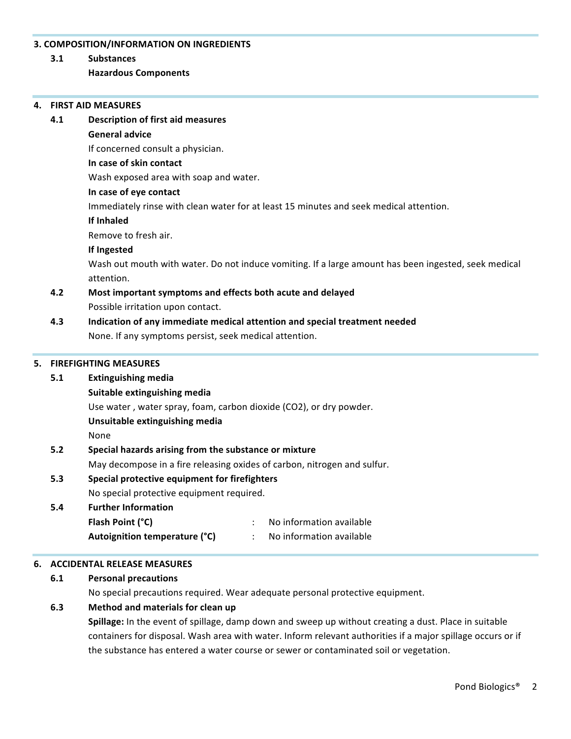### **3. COMPOSITION/INFORMATION ON INGREDIENTS**

**3.1 Substances**

### **Hazardous Components**

#### **4. FIRST AID MEASURES**

### **4.1 Description of first aid measures General advice** If concerned consult a physician. **In case of skin contact** Wash exposed area with soap and water. **In case of eye contact** Immediately rinse with clean water for at least 15 minutes and seek medical attention. **If Inhaled** Remove to fresh air. **If Ingested** Wash out mouth with water. Do not induce vomiting. If a large amount has been ingested, seek medical attention. **4.2** Most important symptoms and effects both acute and delayed Possible irritation upon contact. **4.3 Indication of any immediate medical attention and special treatment needed** None. If any symptoms persist, seek medical attention. **5. FIREFIGHTING MEASURES 5.1 Extinguishing media Suitable extinguishing media** Use water, water spray, foam, carbon dioxide (CO2), or dry powder. **Unsuitable extinguishing media**

None

## **5.2 Special hazards arising from the substance or mixture**

May decompose in a fire releasing oxides of carbon, nitrogen and sulfur.

### **5.3 Special protective equipment for firefighters**

No special protective equipment required.

### **5.4 Further Information Flash Point (°C)** : No information available **Autoignition temperature (°C)** : No information available

### **6. ACCIDENTAL RELEASE MEASURES**

### **6.1 Personal precautions**

No special precautions required. Wear adequate personal protective equipment.

### **6.3 Method and materials for clean up**

**Spillage:** In the event of spillage, damp down and sweep up without creating a dust. Place in suitable containers for disposal. Wash area with water. Inform relevant authorities if a major spillage occurs or if the substance has entered a water course or sewer or contaminated soil or vegetation.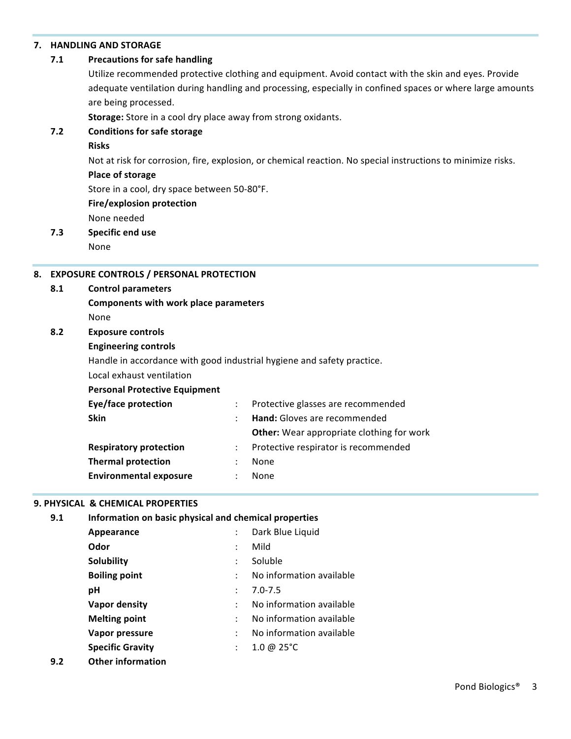### **7. HANDLING AND STORAGE**

### **7.1** Precautions for safe handling

Utilize recommended protective clothing and equipment. Avoid contact with the skin and eyes. Provide adequate ventilation during handling and processing, especially in confined spaces or where large amounts are being processed.

**Storage:** Store in a cool dry place away from strong oxidants.

### **7.2 Conditions for safe storage**

#### **Risks**

Not at risk for corrosion, fire, explosion, or chemical reaction. No special instructions to minimize risks.

### **Place of storage**

Store in a cool, dry space between 50-80°F.

### **Fire/explosion protection**

None needed

# **7.3 Specific end use**

None

### **8. EXPOSURE CONTROLS / PERSONAL PROTECTION**

### **8.1 Control parameters**

**Components with work place parameters** None

### **8.2 Exposure controls**

### **Engineering controls**

Handle in accordance with good industrial hygiene and safety practice.

### Local exhaust ventilation

**Personal Protective Equipment** 

| <b>Eye/face protection</b>    |   | Protective glasses are recommended               |  |
|-------------------------------|---|--------------------------------------------------|--|
| <b>Skin</b>                   |   | Hand: Gloves are recommended                     |  |
|                               |   | <b>Other:</b> Wear appropriate clothing for work |  |
| <b>Respiratory protection</b> |   | Protective respirator is recommended             |  |
| <b>Thermal protection</b>     | ÷ | None                                             |  |
| <b>Environmental exposure</b> |   | None                                             |  |
|                               |   |                                                  |  |

### **9. PHYSICAL & CHEMICAL PROPERTIES**

| 9.1 | Information on basic physical and chemical properties |                      |                          |  |  |  |  |  |
|-----|-------------------------------------------------------|----------------------|--------------------------|--|--|--|--|--|
|     | Appearance                                            |                      | Dark Blue Liquid         |  |  |  |  |  |
|     | Odor                                                  | $\ddot{\phantom{a}}$ | Mild                     |  |  |  |  |  |
|     | Solubility                                            | $\ddot{\phantom{a}}$ | Soluble                  |  |  |  |  |  |
|     | <b>Boiling point</b>                                  |                      | No information available |  |  |  |  |  |
|     | рH                                                    | ÷                    | $7.0 - 7.5$              |  |  |  |  |  |
|     | Vapor density                                         | ÷                    | No information available |  |  |  |  |  |
|     | <b>Melting point</b>                                  |                      | No information available |  |  |  |  |  |
|     | Vapor pressure                                        | $\ddot{\phantom{a}}$ | No information available |  |  |  |  |  |
|     | <b>Specific Gravity</b>                               | ÷                    | 1.0 @ $25^{\circ}$ C     |  |  |  |  |  |
|     |                                                       |                      |                          |  |  |  |  |  |

**9.2 Other information**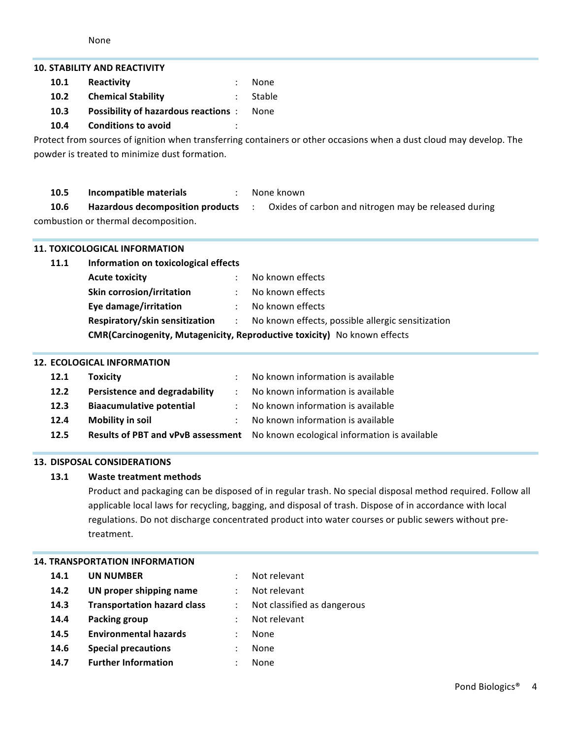| <b>10. STABILITY AND REACTIVITY</b>                                             |                                             |                      |                                                                                                                     |  |  |  |  |  |
|---------------------------------------------------------------------------------|---------------------------------------------|----------------------|---------------------------------------------------------------------------------------------------------------------|--|--|--|--|--|
| 10.1                                                                            | Reactivity                                  |                      | None                                                                                                                |  |  |  |  |  |
| 10.2                                                                            | <b>Chemical Stability</b>                   |                      | Stable                                                                                                              |  |  |  |  |  |
| 10.3                                                                            | <b>Possibility of hazardous reactions :</b> |                      | None                                                                                                                |  |  |  |  |  |
| 10.4                                                                            | <b>Conditions to avoid</b>                  |                      |                                                                                                                     |  |  |  |  |  |
|                                                                                 |                                             |                      | Protect from sources of ignition when transferring containers or other occasions when a dust cloud may develop. The |  |  |  |  |  |
| powder is treated to minimize dust formation.                                   |                                             |                      |                                                                                                                     |  |  |  |  |  |
|                                                                                 |                                             |                      |                                                                                                                     |  |  |  |  |  |
| 10.5                                                                            | Incompatible materials                      | $\therefore$         | None known                                                                                                          |  |  |  |  |  |
| 10.6                                                                            |                                             |                      | Hazardous decomposition products : Oxides of carbon and nitrogen may be released during                             |  |  |  |  |  |
|                                                                                 | combustion or thermal decomposition.        |                      |                                                                                                                     |  |  |  |  |  |
|                                                                                 |                                             |                      |                                                                                                                     |  |  |  |  |  |
|                                                                                 | <b>11. TOXICOLOGICAL INFORMATION</b>        |                      |                                                                                                                     |  |  |  |  |  |
| 11.1                                                                            | Information on toxicological effects        |                      |                                                                                                                     |  |  |  |  |  |
|                                                                                 | <b>Acute toxicity</b>                       |                      | No known effects                                                                                                    |  |  |  |  |  |
|                                                                                 | Skin corrosion/irritation                   |                      | No known effects                                                                                                    |  |  |  |  |  |
|                                                                                 | Eye damage/irritation                       |                      | No known effects                                                                                                    |  |  |  |  |  |
|                                                                                 | Respiratory/skin sensitization :            |                      | No known effects, possible allergic sensitization                                                                   |  |  |  |  |  |
| <b>CMR(Carcinogenity, Mutagenicity, Reproductive toxicity)</b> No known effects |                                             |                      |                                                                                                                     |  |  |  |  |  |
|                                                                                 | <b>12. ECOLOGICAL INFORMATION</b>           |                      |                                                                                                                     |  |  |  |  |  |
| 12.1                                                                            | <b>Toxicity</b>                             |                      | No known information is available                                                                                   |  |  |  |  |  |
| 12.2                                                                            | <b>Persistence and degradability</b>        | $\ddot{\phantom{a}}$ | No known information is available                                                                                   |  |  |  |  |  |
| 12.3                                                                            | <b>Biaacumulative potential</b>             | $\ddot{\phantom{a}}$ | No known information is available                                                                                   |  |  |  |  |  |
| 12.4                                                                            | Mobility in soil                            |                      | No known information is available                                                                                   |  |  |  |  |  |
| 12.5                                                                            | <b>Results of PBT and vPvB assessment</b>   |                      | No known ecological information is available                                                                        |  |  |  |  |  |

### **13. DISPOSAL CONSIDERATIONS**

### **13.1 Waste treatment methods**

Product and packaging can be disposed of in regular trash. No special disposal method required. Follow all applicable local laws for recycling, bagging, and disposal of trash. Dispose of in accordance with local regulations. Do not discharge concentrated product into water courses or public sewers without pretreatment. 

### **14. TRANSPORTATION INFORMATION**

### **14.1 UN NUMBER** : Not relevant

- **14.2 UN proper shipping name** : Not relevant
- **14.3 Transportation hazard class** : Not classified as dangerous
- **14.4 Packing group** : Not relevant
- **14.5 Environmental hazards** : None
- **14.6 Special precautions : None**
- **14.7 Further Information : None**
- 
- 
- 
- 

Pond Biologics<sup>®</sup> 4